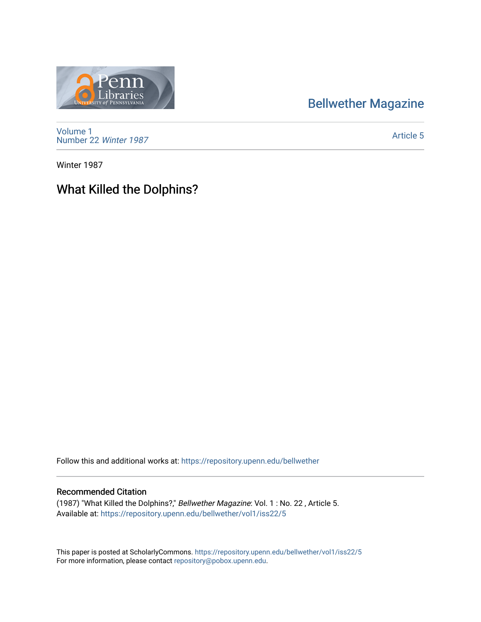## [Bellwether Magazine](https://repository.upenn.edu/bellwether)



[Volume 1](https://repository.upenn.edu/bellwether/vol1) [Number 22](https://repository.upenn.edu/bellwether/vol1/iss22) Winter 1987

[Article 5](https://repository.upenn.edu/bellwether/vol1/iss22/5) 

Winter 1987

## What Killed the Dolphins?

Follow this and additional works at: [https://repository.upenn.edu/bellwether](https://repository.upenn.edu/bellwether?utm_source=repository.upenn.edu%2Fbellwether%2Fvol1%2Fiss22%2F5&utm_medium=PDF&utm_campaign=PDFCoverPages) 

## Recommended Citation

(1987) "What Killed the Dolphins?," Bellwether Magazine: Vol. 1 : No. 22 , Article 5. Available at: [https://repository.upenn.edu/bellwether/vol1/iss22/5](https://repository.upenn.edu/bellwether/vol1/iss22/5?utm_source=repository.upenn.edu%2Fbellwether%2Fvol1%2Fiss22%2F5&utm_medium=PDF&utm_campaign=PDFCoverPages)

This paper is posted at ScholarlyCommons.<https://repository.upenn.edu/bellwether/vol1/iss22/5> For more information, please contact [repository@pobox.upenn.edu.](mailto:repository@pobox.upenn.edu)